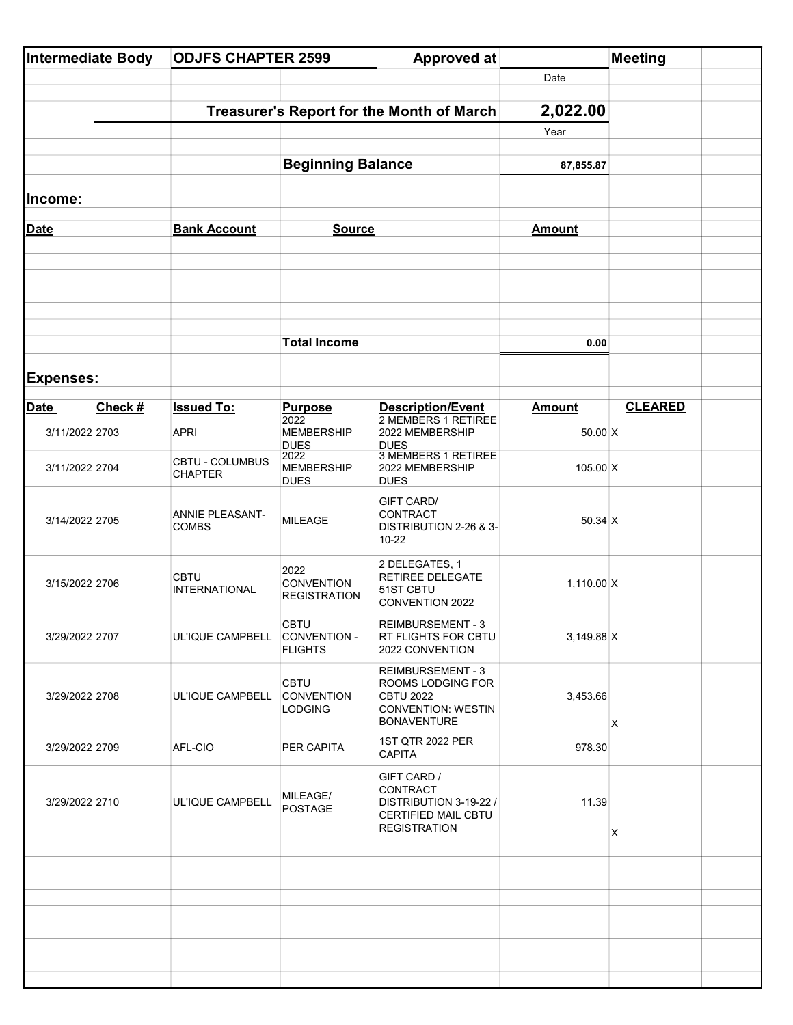| Intermediate Body |         | <b>ODJFS CHAPTER 2599</b>                 |                                                  | <b>Approved at</b>                                                                                     |                 | <b>Meeting</b> |
|-------------------|---------|-------------------------------------------|--------------------------------------------------|--------------------------------------------------------------------------------------------------------|-----------------|----------------|
|                   |         |                                           |                                                  |                                                                                                        | Date            |                |
|                   |         | Treasurer's Report for the Month of March |                                                  |                                                                                                        | 2,022.00        |                |
|                   |         |                                           |                                                  |                                                                                                        | Year            |                |
|                   |         |                                           | <b>Beginning Balance</b>                         |                                                                                                        | 87,855.87       |                |
| Income:           |         |                                           |                                                  |                                                                                                        |                 |                |
|                   |         | <b>Bank Account</b>                       |                                                  |                                                                                                        | <b>Amount</b>   |                |
| <b>Date</b>       |         |                                           | <b>Source</b>                                    |                                                                                                        |                 |                |
|                   |         |                                           |                                                  |                                                                                                        |                 |                |
|                   |         |                                           |                                                  |                                                                                                        |                 |                |
|                   |         |                                           |                                                  |                                                                                                        |                 |                |
|                   |         |                                           | <b>Total Income</b>                              |                                                                                                        | 0.00            |                |
| <b>Expenses:</b>  |         |                                           |                                                  |                                                                                                        |                 |                |
| <b>Date</b>       | Check # | <b>Issued To:</b>                         | <b>Purpose</b>                                   | Description/Event                                                                                      | <b>Amount</b>   | <b>CLEARED</b> |
| 3/11/2022 2703    |         | <b>APRI</b>                               | 2022<br><b>MEMBERSHIP</b><br><b>DUES</b>         | 2 MEMBERS 1 RETIREE<br>2022 MEMBERSHIP<br><b>DUES</b>                                                  | 50.00 X         |                |
| 3/11/2022 2704    |         | CBTU - COLUMBUS<br><b>CHAPTER</b>         | 2022<br><b>MEMBERSHIP</b><br><b>DUES</b>         | <b>3 MEMBERS 1 RETIREE</b><br>2022 MEMBERSHIP<br><b>DUES</b>                                           | $105.00 \, X$   |                |
| 3/14/2022 2705    |         | <b>ANNIE PLEASANT-</b><br><b>COMBS</b>    | <b>MILEAGE</b>                                   | <b>GIFT CARD/</b><br>CONTRACT<br>DISTRIBUTION 2-26 & 3-<br>10-22                                       | 50.34 X         |                |
| 3/15/2022 2706    |         | <b>CBTU</b><br><b>INTERNATIONAL</b>       | 2022<br><b>CONVENTION</b><br><b>REGISTRATION</b> | 2 DELEGATES, 1<br><b>RETIREE DELEGATE</b><br>51ST CBTU<br>CONVENTION 2022                              | $1,110.00 \, X$ |                |
| 3/29/2022 2707    |         | UL'IQUE CAMPBELL CONVENTION -             | <b>CBTU</b><br><b>FLIGHTS</b>                    | <b>REIMBURSEMENT - 3</b><br><b>RT FLIGHTS FOR CBTU</b><br>2022 CONVENTION                              | $3,149.88$ X    |                |
| 3/29/2022 2708    |         | UL'IQUE CAMPBELL                          | <b>CBTU</b><br>CONVENTION<br><b>LODGING</b>      | REIMBURSEMENT - 3<br>ROOMS LODGING FOR<br><b>CBTU 2022</b><br>CONVENTION: WESTIN<br><b>BONAVENTURE</b> | 3,453.66        | X              |
| 3/29/2022 2709    |         | AFL-CIO                                   | <b>PER CAPITA</b>                                | 1ST QTR 2022 PER<br>CAPITA                                                                             | 978.30          |                |
| 3/29/2022 2710    |         | UL'IQUE CAMPBELL                          | MILEAGE/<br><b>POSTAGE</b>                       | GIFT CARD /<br>CONTRACT<br>DISTRIBUTION 3-19-22 /<br>CERTIFIED MAIL CBTU<br><b>REGISTRATION</b>        | 11.39           | X              |
|                   |         |                                           |                                                  |                                                                                                        |                 |                |
|                   |         |                                           |                                                  |                                                                                                        |                 |                |
|                   |         |                                           |                                                  |                                                                                                        |                 |                |
|                   |         |                                           |                                                  |                                                                                                        |                 |                |
|                   |         |                                           |                                                  |                                                                                                        |                 |                |
|                   |         |                                           |                                                  |                                                                                                        |                 |                |
|                   |         |                                           |                                                  |                                                                                                        |                 |                |